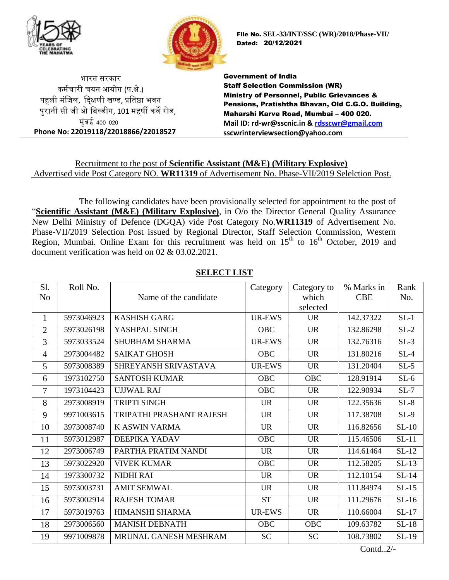



File No. **SEL-33/INT/SSC (WR)/2018/Phase-VII/** Dated: 20/12/2021

भारत सरकार कर्मचारी चयन आयोग (प.क्षे.) पहली मंजिल, दिक्षणी खण्ड, प्रतिष्ठा भवन पुरानी सी िी ओ जिल्डीग, 101 र्हर्षी कवे रोड, मुंबई 400 020 **Phone No: 22019118/22018866/22018527** Government of India Staff Selection Commission (WR) Ministry of Personnel, Public Grievances & Pensions, Pratishtha Bhavan, Old C.G.O. Building, Maharshi Karve Road, Mumbai – 400 020. **Mail ID: rd-wr@sscnic.in & [rdsscwr@gmail.com](mailto:rdsscwr@gmail.com) sscwrinterviewsection@yahoo.com**

## Recruitment to the post of **Scientific Assistant (M&E) (Military Explosive)** Advertised vide Post Category NO. **WR11319** of Advertisement No. Phase-VII/2019 Selelction Post.

The following candidates have been provisionally selected for appointment to the post of "**Scientific Assistant (M&E) (Military Explosive)**, in O/o the Director General Quality Assurance New Delhi Ministry of Defence (DGQA) vide Post Category No.**WR11319** of Advertisement No. Phase-VII/2019 Selection Post issued by Regional Director, Staff Selection Commission, Western Region, Mumbai. Online Exam for this recruitment was held on  $15<sup>th</sup>$  to  $16<sup>th</sup>$  October, 2019 and document verification was held on 02 & 03.02.2021.

| N <sub>o</sub> |            |                          | Category      | Category to | % Marks in | Rank    |
|----------------|------------|--------------------------|---------------|-------------|------------|---------|
|                |            | Name of the candidate    |               | which       | <b>CBE</b> | No.     |
|                |            |                          |               | selected    |            |         |
| $\mathbf{1}$   | 5973046923 | <b>KASHISH GARG</b>      | <b>UR-EWS</b> | <b>UR</b>   | 142.37322  | $SL-1$  |
| $\overline{2}$ | 5973026198 | YASHPAL SINGH            | <b>OBC</b>    | <b>UR</b>   | 132.86298  | $SL-2$  |
| $\overline{3}$ | 5973033524 | <b>SHUBHAM SHARMA</b>    | <b>UR-EWS</b> | <b>UR</b>   | 132.76316  | $SL-3$  |
| $\overline{4}$ | 2973004482 | <b>SAIKAT GHOSH</b>      | <b>OBC</b>    | <b>UR</b>   | 131.80216  | $SL-4$  |
| 5              | 5973008389 | SHREYANSH SRIVASTAVA     | UR-EWS        | <b>UR</b>   | 131.20404  | $SL-5$  |
| 6              | 1973102750 | <b>SANTOSH KUMAR</b>     | <b>OBC</b>    | <b>OBC</b>  | 128.91914  | $SL-6$  |
| $\overline{7}$ | 1973104423 | <b>UJJWAL RAJ</b>        | <b>OBC</b>    | <b>UR</b>   | 122.90934  | $SL-7$  |
| 8              | 2973008919 | <b>TRIPTI SINGH</b>      | <b>UR</b>     | <b>UR</b>   | 122.35636  | $SL-8$  |
| 9              | 9971003615 | TRIPATHI PRASHANT RAJESH | <b>UR</b>     | <b>UR</b>   | 117.38708  | $SL-9$  |
| 10             | 3973008740 | K ASWIN VARMA            | <b>UR</b>     | <b>UR</b>   | 116.82656  | $SL-10$ |
| 11             | 5973012987 | DEEPIKA YADAV            | <b>OBC</b>    | <b>UR</b>   | 115.46506  | $SL-11$ |
| 12             | 2973006749 | PARTHA PRATIM NANDI      | <b>UR</b>     | <b>UR</b>   | 114.61464  | $SL-12$ |
| 13             | 5973022920 | <b>VIVEK KUMAR</b>       | <b>OBC</b>    | <b>UR</b>   | 112.58205  | $SL-13$ |
| 14             | 1973300732 | <b>NIDHI RAI</b>         | <b>UR</b>     | <b>UR</b>   | 112.10154  | $SL-14$ |
| 15             | 5973003731 | <b>AMIT SEMWAL</b>       | <b>UR</b>     | <b>UR</b>   | 111.84974  | $SL-15$ |
| 16             | 5973002914 | <b>RAJESH TOMAR</b>      | <b>ST</b>     | <b>UR</b>   | 111.29676  | $SL-16$ |
| 17             | 5973019763 | HIMANSHI SHARMA          | UR-EWS        | <b>UR</b>   | 110.66004  | $SL-17$ |
| 18             | 2973006560 | <b>MANISH DEBNATH</b>    | <b>OBC</b>    | <b>OBC</b>  | 109.63782  | $SL-18$ |
| 19             | 9971009878 | MRUNAL GANESH MESHRAM    | <b>SC</b>     | <b>SC</b>   | 108.73802  | $SL-19$ |

## **SELECT LIST**

Contd..2/-